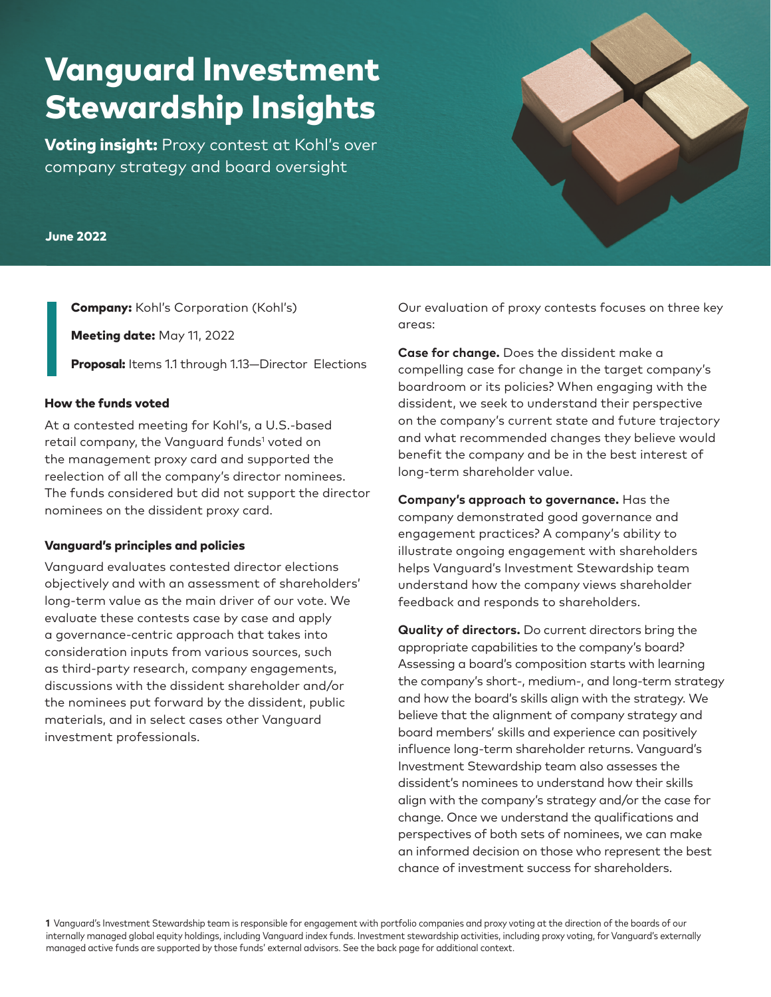# Vanguard Investment Stewardship Insights

**Voting insight:** Proxy contest at Kohl's over company strategy and board oversight

#### June 2022

Company: Kohl's Corporation (Kohl's)

Meeting date: May 11, 2022

Proposal: Items 1.1 through 1.13-Director Elections

#### How the funds voted

At a contested meeting for Kohl's, a U.S.-based retail company, the Vanguard funds<sup>1</sup> voted on the management proxy card and supported the reelection of all the company's director nominees. The funds considered but did not support the director nominees on the dissident proxy card.

#### Vanguard's principles and policies

Vanguard evaluates contested director elections objectively and with an assessment of shareholders' long-term value as the main driver of our vote. We evaluate these contests case by case and apply a governance-centric approach that takes into consideration inputs from various sources, such as third-party research, company engagements, discussions with the dissident shareholder and/or the nominees put forward by the dissident, public materials, and in select cases other Vanguard investment professionals.

Our evaluation of proxy contests focuses on three key areas:

**Case for change.** Does the dissident make a compelling case for change in the target company's boardroom or its policies? When engaging with the dissident, we seek to understand their perspective on the company's current state and future trajectory and what recommended changes they believe would benefit the company and be in the best interest of long-term shareholder value.

**Company's approach to governance.** Has the company demonstrated good governance and engagement practices? A company's ability to illustrate ongoing engagement with shareholders helps Vanguard's Investment Stewardship team understand how the company views shareholder feedback and responds to shareholders.

**Quality of directors.** Do current directors bring the appropriate capabilities to the company's board? Assessing a board's composition starts with learning the company's short-, medium-, and long-term strategy and how the board's skills align with the strategy. We believe that the alignment of company strategy and board members' skills and experience can positively influence long-term shareholder returns. Vanguard's Investment Stewardship team also assesses the dissident's nominees to understand how their skills align with the company's strategy and/or the case for change. Once we understand the qualifications and perspectives of both sets of nominees, we can make an informed decision on those who represent the best chance of investment success for shareholders.

**1** Vanguard's Investment Stewardship team is responsible for engagement with portfolio companies and proxy voting at the direction of the boards of our internally managed global equity holdings, including Vanguard index funds. Investment stewardship activities, including proxy voting, for Vanguard's externally managed active funds are supported by those funds' external advisors. See the back page for additional context.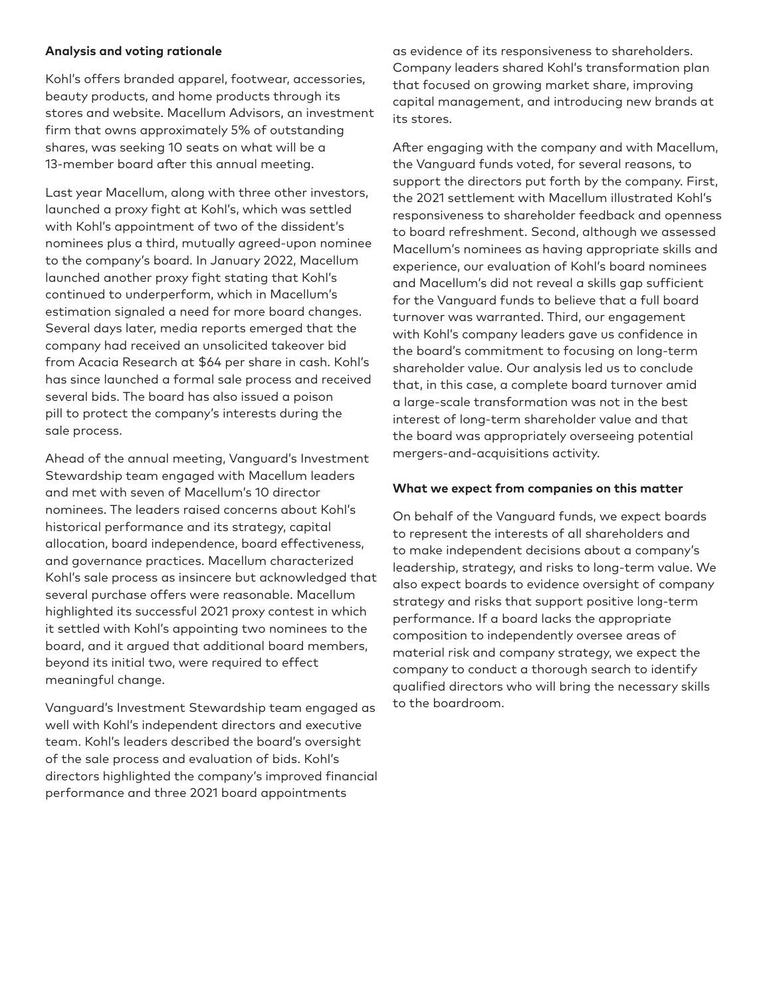## **Analysis and voting rationale**

Kohl's offers branded apparel, footwear, accessories, beauty products, and home products through its stores and website. Macellum Advisors, an investment firm that owns approximately 5% of outstanding shares, was seeking 10 seats on what will be a 13-member board after this annual meeting.

Last year Macellum, along with three other investors, launched a proxy fight at Kohl's, which was settled with Kohl's appointment of two of the dissident's nominees plus a third, mutually agreed-upon nominee to the company's board. In January 2022, Macellum launched another proxy fight stating that Kohl's continued to underperform, which in Macellum's estimation signaled a need for more board changes. Several days later, media reports emerged that the company had received an unsolicited takeover bid from Acacia Research at \$64 per share in cash. Kohl's has since launched a formal sale process and received several bids. The board has also issued a poison pill to protect the company's interests during the sale process.

Ahead of the annual meeting, Vanguard's Investment Stewardship team engaged with Macellum leaders and met with seven of Macellum's 10 director nominees. The leaders raised concerns about Kohl's historical performance and its strategy, capital allocation, board independence, board effectiveness, and governance practices. Macellum characterized Kohl's sale process as insincere but acknowledged that several purchase offers were reasonable. Macellum highlighted its successful 2021 proxy contest in which it settled with Kohl's appointing two nominees to the board, and it argued that additional board members, beyond its initial two, were required to effect meaningful change.

Vanguard's Investment Stewardship team engaged as well with Kohl's independent directors and executive team. Kohl's leaders described the board's oversight of the sale process and evaluation of bids. Kohl's directors highlighted the company's improved financial performance and three 2021 board appointments

as evidence of its responsiveness to shareholders. Company leaders shared Kohl's transformation plan that focused on growing market share, improving capital management, and introducing new brands at its stores.

After engaging with the company and with Macellum, the Vanguard funds voted, for several reasons, to support the directors put forth by the company. First, the 2021 settlement with Macellum illustrated Kohl's responsiveness to shareholder feedback and openness to board refreshment. Second, although we assessed Macellum's nominees as having appropriate skills and experience, our evaluation of Kohl's board nominees and Macellum's did not reveal a skills gap sufficient for the Vanguard funds to believe that a full board turnover was warranted. Third, our engagement with Kohl's company leaders gave us confidence in the board's commitment to focusing on long-term shareholder value. Our analysis led us to conclude that, in this case, a complete board turnover amid a large-scale transformation was not in the best interest of long-term shareholder value and that the board was appropriately overseeing potential mergers-and-acquisitions activity.

## **What we expect from companies on this matter**

On behalf of the Vanguard funds, we expect boards to represent the interests of all shareholders and to make independent decisions about a company's leadership, strategy, and risks to long-term value. We also expect boards to evidence oversight of company strategy and risks that support positive long-term performance. If a board lacks the appropriate composition to independently oversee areas of material risk and company strategy, we expect the company to conduct a thorough search to identify qualified directors who will bring the necessary skills to the boardroom.